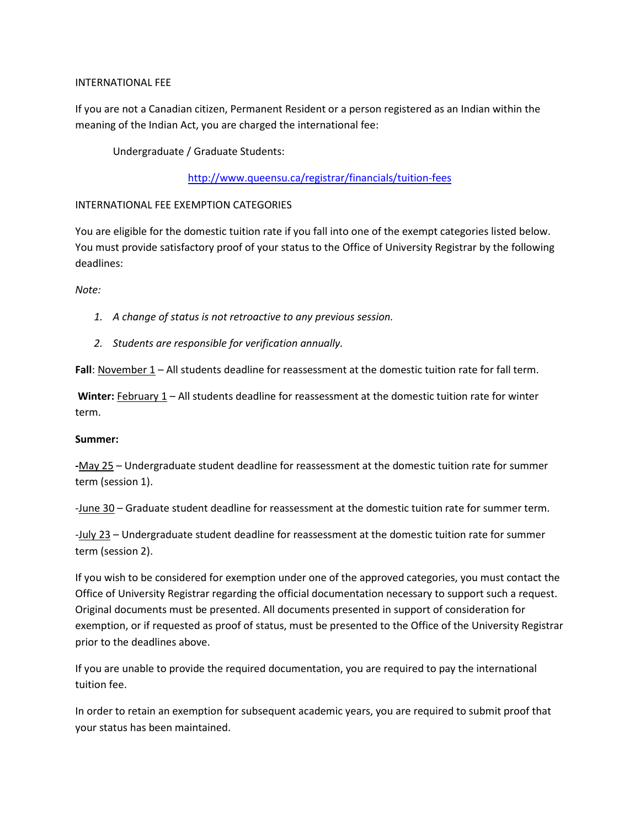## INTERNATIONAL FEE

If you are not a Canadian citizen, Permanent Resident or a person registered as an Indian within the meaning of the Indian Act, you are charged the international fee:

Undergraduate / Graduate Students:

## <http://www.queensu.ca/registrar/financials/tuition-fees>

## INTERNATIONAL FEE EXEMPTION CATEGORIES

You are eligible for the domestic tuition rate if you fall into one of the exempt categories listed below. You must provide satisfactory proof of your status to the Office of University Registrar by the following deadlines:

*Note:* 

- *1. A change of status is not retroactive to any previous session.*
- *2. Students are responsible for verification annually.*

**Fall**: November 1 – All students deadline for reassessment at the domestic tuition rate for fall term.

Winter: February 1 – All students deadline for reassessment at the domestic tuition rate for winter term.

#### **Summer:**

**-**May 25 – Undergraduate student deadline for reassessment at the domestic tuition rate for summer term (session 1).

-June 30 – Graduate student deadline for reassessment at the domestic tuition rate for summer term.

-July 23 – Undergraduate student deadline for reassessment at the domestic tuition rate for summer term (session 2).

If you wish to be considered for exemption under one of the approved categories, you must contact the Office of University Registrar regarding the official documentation necessary to support such a request. Original documents must be presented. All documents presented in support of consideration for exemption, or if requested as proof of status, must be presented to the Office of the University Registrar prior to the deadlines above.

If you are unable to provide the required documentation, you are required to pay the international tuition fee.

In order to retain an exemption for subsequent academic years, you are required to submit proof that your status has been maintained.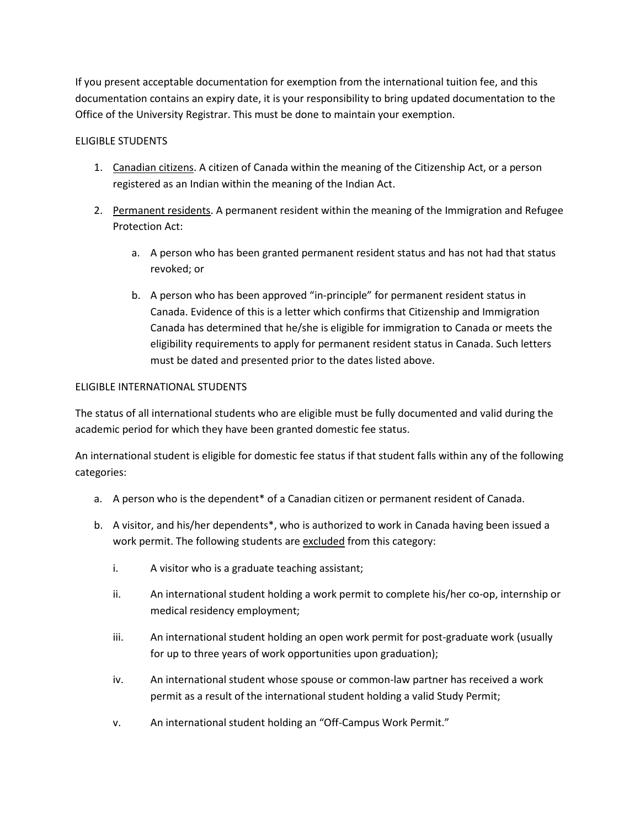If you present acceptable documentation for exemption from the international tuition fee, and this documentation contains an expiry date, it is your responsibility to bring updated documentation to the Office of the University Registrar. This must be done to maintain your exemption.

# ELIGIBLE STUDENTS

- 1. Canadian citizens. A citizen of Canada within the meaning of the Citizenship Act, or a person registered as an Indian within the meaning of the Indian Act.
- 2. Permanent residents. A permanent resident within the meaning of the Immigration and Refugee Protection Act:
	- a. A person who has been granted permanent resident status and has not had that status revoked; or
	- b. A person who has been approved "in-principle" for permanent resident status in Canada. Evidence of this is a letter which confirms that Citizenship and Immigration Canada has determined that he/she is eligible for immigration to Canada or meets the eligibility requirements to apply for permanent resident status in Canada. Such letters must be dated and presented prior to the dates listed above.

## ELIGIBLE INTERNATIONAL STUDENTS

The status of all international students who are eligible must be fully documented and valid during the academic period for which they have been granted domestic fee status.

An international student is eligible for domestic fee status if that student falls within any of the following categories:

- a. A person who is the dependent\* of a Canadian citizen or permanent resident of Canada.
- b. A visitor, and his/her dependents\*, who is authorized to work in Canada having been issued a work permit. The following students are excluded from this category:
	- i. A visitor who is a graduate teaching assistant;
	- ii. An international student holding a work permit to complete his/her co-op, internship or medical residency employment;
	- iii. An international student holding an open work permit for post-graduate work (usually for up to three years of work opportunities upon graduation);
	- iv. An international student whose spouse or common-law partner has received a work permit as a result of the international student holding a valid Study Permit;
	- v. An international student holding an "Off-Campus Work Permit."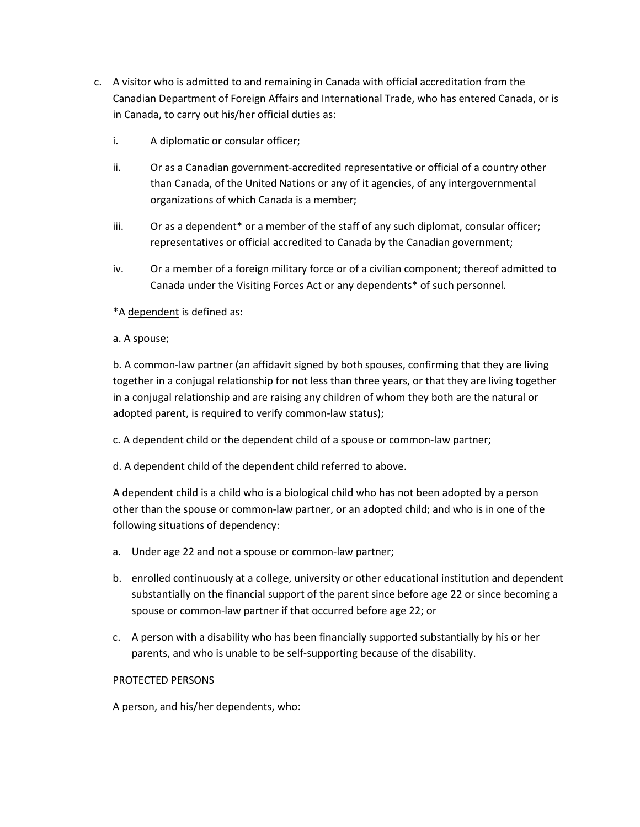- c. A visitor who is admitted to and remaining in Canada with official accreditation from the Canadian Department of Foreign Affairs and International Trade, who has entered Canada, or is in Canada, to carry out his/her official duties as:
	- i. A diplomatic or consular officer;
	- ii. Or as a Canadian government-accredited representative or official of a country other than Canada, of the United Nations or any of it agencies, of any intergovernmental organizations of which Canada is a member;
	- iii. Or as a dependent\* or a member of the staff of any such diplomat, consular officer; representatives or official accredited to Canada by the Canadian government;
	- iv. Or a member of a foreign military force or of a civilian component; thereof admitted to Canada under the Visiting Forces Act or any dependents\* of such personnel.

\*A dependent is defined as:

a. A spouse;

b. A common-law partner (an affidavit signed by both spouses, confirming that they are living together in a conjugal relationship for not less than three years, or that they are living together in a conjugal relationship and are raising any children of whom they both are the natural or adopted parent, is required to verify common-law status);

c. A dependent child or the dependent child of a spouse or common-law partner;

d. A dependent child of the dependent child referred to above.

A dependent child is a child who is a biological child who has not been adopted by a person other than the spouse or common-law partner, or an adopted child; and who is in one of the following situations of dependency:

- a. Under age 22 and not a spouse or common-law partner;
- b. enrolled continuously at a college, university or other educational institution and dependent substantially on the financial support of the parent since before age 22 or since becoming a spouse or common-law partner if that occurred before age 22; or
- c. A person with a disability who has been financially supported substantially by his or her parents, and who is unable to be self-supporting because of the disability.

#### PROTECTED PERSONS

A person, and his/her dependents, who: